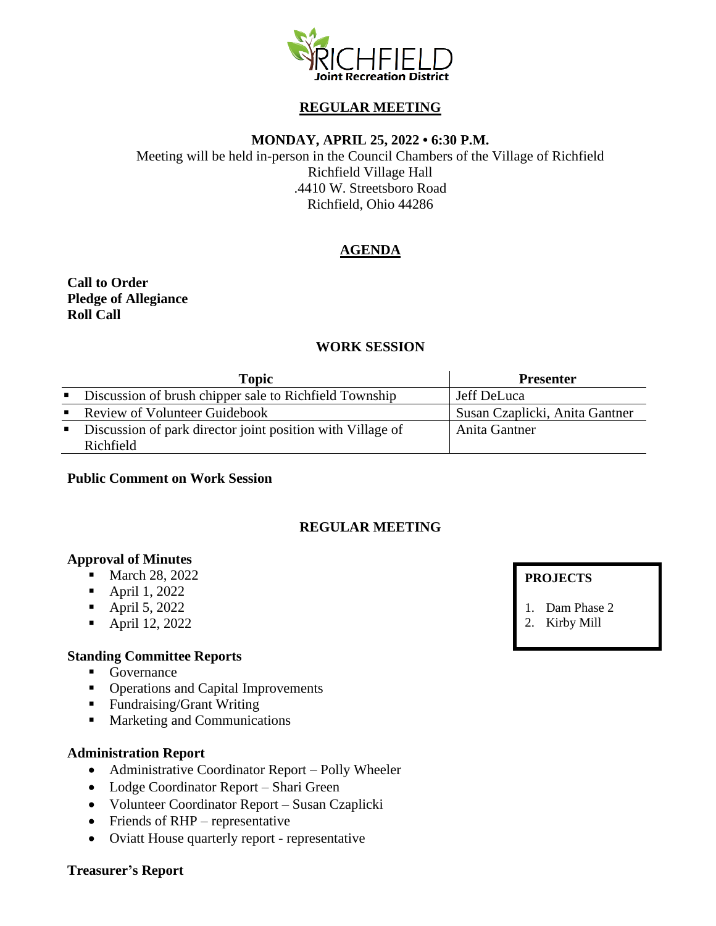

## **REGULAR MEETING**

## **MONDAY, APRIL 25, 2022 • 6:30 P.M.**

Meeting will be held in-person in the Council Chambers of the Village of Richfield Richfield Village Hall .4410 W. Streetsboro Road Richfield, Ohio 44286

# **AGENDA**

**Call to Order Pledge of Allegiance Roll Call**

## **WORK SESSION**

|                | Topic                                                      | <b>Presenter</b>               |
|----------------|------------------------------------------------------------|--------------------------------|
|                | • Discussion of brush chipper sale to Richfield Township   | Jeff DeLuca                    |
|                | • Review of Volunteer Guidebook                            | Susan Czaplicki, Anita Gantner |
| $\mathbf{E}$ . | Discussion of park director joint position with Village of | Anita Gantner                  |
|                | Richfield                                                  |                                |

#### **Public Comment on Work Session**

## **REGULAR MEETING**

#### **Approval of Minutes**

- March 28, 2022
- April 1, 2022
- April 5, 2022
- April 12, 2022

## **Standing Committee Reports**

- Governance
- Operations and Capital Improvements
- Fundraising/Grant Writing
- Marketing and Communications

#### **Administration Report**

- Administrative Coordinator Report Polly Wheeler
- Lodge Coordinator Report Shari Green
- Volunteer Coordinator Report Susan Czaplicki
- Friends of RHP representative
- Oviatt House quarterly report representative

#### **Treasurer's Report**

## **PROJECTS**

- 1. Dam Phase 2
- 2. Kirby Mill